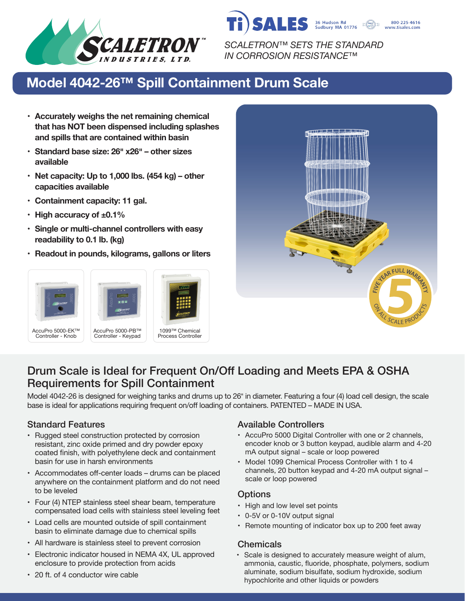

**SALES** 36 Hudson Rd 800-225-4616 www.tisales.com

*SCALETRON™ SETS THE STANDARD IN CORROSION RESISTANCE™*

# **Model 4042-26™ Spill Containment Drum Scale**

- **• Accurately weighs the net remaining chemical that has NOT been dispensed including splashes and spills that are contained within basin**
- **• Standard base size: 26� x26� – other sizes available**
- **• Net capacity: Up to 1,000 lbs. (454 kg) – other capacities available**
- **• Containment capacity: 11 gal.**
- **• High accuracy of ±0.1%**
- **• Single or multi-channel controllers with easy readability to 0.1 lb. (kg)**
- **• Readout in pounds, kilograms, gallons or liters**





## Drum Scale is Ideal for Frequent On/Off Loading and Meets EPA & OSHA Requirements for Spill Containment

Model 4042-26 is designed for weighing tanks and drums up to 26" in diameter. Featuring a four (4) load cell design, the scale base is ideal for applications requiring frequent on/off loading of containers. PATENTED – MADE IN USA.

- Rugged steel construction protected by corrosion resistant, zinc oxide primed and dry powder epoxy coated finish, with polyethylene deck and containment basin for use in harsh environments
- Accommodates off-center loads drums can be placed anywhere on the containment platform and do not need to be leveled
- Four (4) NTEP stainless steel shear beam, temperature compensated load cells with stainless steel leveling feet
- Load cells are mounted outside of spill containment basin to eliminate damage due to chemical spills
- All hardware is stainless steel to prevent corrosion
- Electronic indicator housed in NEMA 4X, UL approved enclosure to provide protection from acids
- 20 ft. of 4 conductor wire cable

#### Standard Features **Available Controllers** Available Controllers

- AccuPro 5000 Digital Controller with one or 2 channels, encoder knob or 3 button keypad, audible alarm and 4-20 mA output signal – scale or loop powered
- Model 1099 Chemical Process Controller with 1 to 4 channels, 20 button keypad and 4-20 mA output signal – scale or loop powered

### **Options**

- High and low level set points
- 0-5V or 0-10V output signal
- Remote mounting of indicator box up to 200 feet away

#### **Chemicals**

• Scale is designed to accurately measure weight of alum, ammonia, caustic, fluoride, phosphate, polymers, sodium aluminate, sodium bisulfate, sodium hydroxide, sodium hypochlorite and other liquids or powders